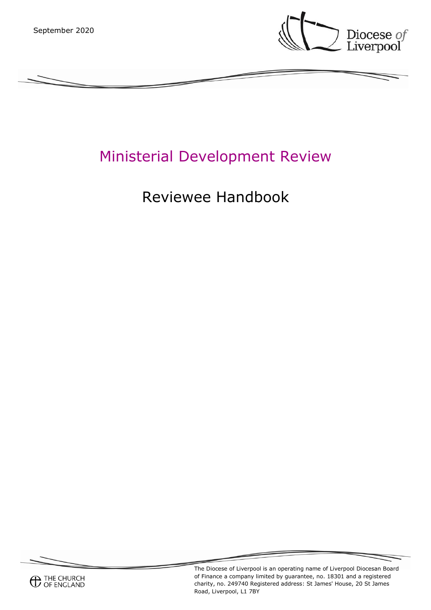

# Ministerial Development Review

# Reviewee Handbook



The Diocese of Liverpool is an operating name of Liverpool Diocesan Board of Finance a company limited by guarantee, no. 18301 and a registered charity, no. 249740 Registered address: St James' House, 20 St James Road, Liverpool, L1 7BY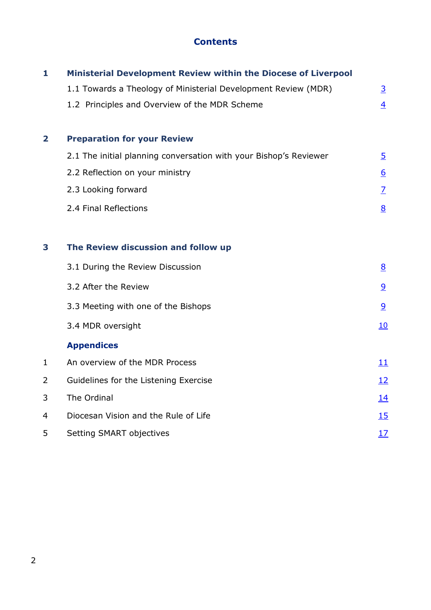# **Contents**

| $\mathbf{1}$ | Ministerial Development Review within the Diocese of Liverpool    |                  |
|--------------|-------------------------------------------------------------------|------------------|
|              | 1.1 Towards a Theology of Ministerial Development Review (MDR)    | $\overline{3}$   |
|              | 1.2 Principles and Overview of the MDR Scheme                     | $\overline{4}$   |
|              |                                                                   |                  |
| $\mathbf{2}$ | <b>Preparation for your Review</b>                                |                  |
|              | 2.1 The initial planning conversation with your Bishop's Reviewer | $\overline{5}$   |
|              | 2.2 Reflection on your ministry                                   | $6 \overline{6}$ |
|              | 2.3 Looking forward                                               | $\overline{Z}$   |
|              | 2.4 Final Reflections                                             | 8                |
|              |                                                                   |                  |
| 3            | The Review discussion and follow up                               |                  |
|              | 3.1 During the Review Discussion                                  | 8                |
|              | 3.2 After the Review                                              | 9                |
|              | 3.3 Meeting with one of the Bishops                               | 9                |
|              | 3.4 MDR oversight                                                 | 10               |
|              | <b>Appendices</b>                                                 |                  |
| $\mathbf{1}$ | An overview of the MDR Process                                    | <u> 11</u>       |
| 2            | Guidelines for the Listening Exercise                             | <u> 12</u>       |
| 3            | The Ordinal                                                       | <u>14</u>        |
| 4            | Diocesan Vision and the Rule of Life                              | 15               |
| 5            | Setting SMART objectives                                          | 17               |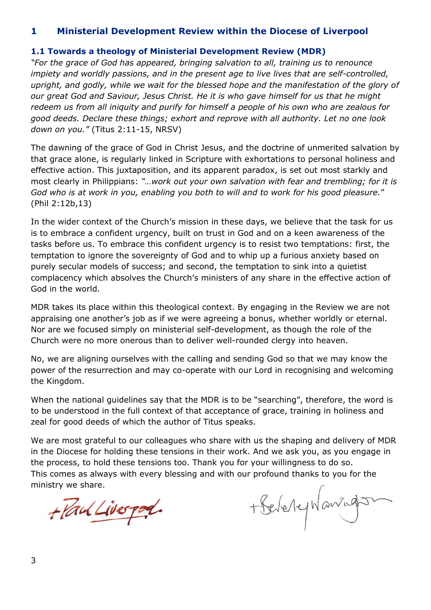## **1 Ministerial Development Review within the Diocese of Liverpool**

#### <span id="page-2-0"></span>**1.1 Towards a theology of Ministerial Development Review (MDR)**

*"For the grace of God has appeared, bringing salvation to all, training us to renounce impiety and worldly passions, and in the present age to live lives that are self-controlled, upright, and godly, while we wait for the blessed hope and the manifestation of the glory of our great God and Saviour, Jesus Christ. He it is who gave himself for us that he might redeem us from all iniquity and purify for himself a people of his own who are zealous for good deeds. Declare these things; exhort and reprove with all authority. Let no one look down on you."* (Titus 2:11-15, NRSV)

The dawning of the grace of God in Christ Jesus, and the doctrine of unmerited salvation by that grace alone, is regularly linked in Scripture with exhortations to personal holiness and effective action. This juxtaposition, and its apparent paradox, is set out most starkly and most clearly in Philippians: *"…work out your own salvation with fear and trembling; for it is God who is at work in you, enabling you both to will and to work for his good pleasure.*" (Phil 2:12b,13)

In the wider context of the Church's mission in these days, we believe that the task for us is to embrace a confident urgency, built on trust in God and on a keen awareness of the tasks before us. To embrace this confident urgency is to resist two temptations: first, the temptation to ignore the sovereignty of God and to whip up a furious anxiety based on purely secular models of success; and second, the temptation to sink into a quietist complacency which absolves the Church's ministers of any share in the effective action of God in the world.

MDR takes its place within this theological context. By engaging in the Review we are not appraising one another's job as if we were agreeing a bonus, whether worldly or eternal. Nor are we focused simply on ministerial self-development, as though the role of the Church were no more onerous than to deliver well-rounded clergy into heaven.

No, we are aligning ourselves with the calling and sending God so that we may know the power of the resurrection and may co-operate with our Lord in recognising and welcoming the Kingdom.

When the national guidelines say that the MDR is to be "searching", therefore, the word is to be understood in the full context of that acceptance of grace, training in holiness and zeal for good deeds of which the author of Titus speaks.

We are most grateful to our colleagues who share with us the shaping and delivery of MDR in the Diocese for holding these tensions in their work. And we ask you, as you engage in the process, to hold these tensions too. Thank you for your willingness to do so. This comes as always with every blessing and with our profound thanks to you for the ministry we share.

<span id="page-2-1"></span>+ Paul Liverport.

+ Belevey Wanning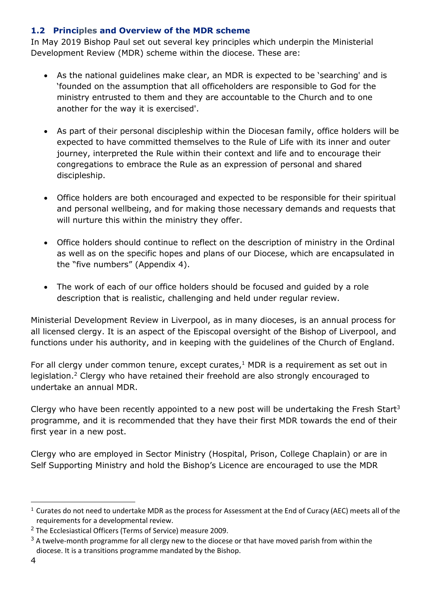## **1.2 Principles and Overview of the MDR scheme**

In May 2019 Bishop Paul set out several key principles which underpin the Ministerial Development Review (MDR) scheme within the diocese. These are:

- As the national guidelines make clear, an MDR is expected to be 'searching' and is 'founded on the assumption that all officeholders are responsible to God for the ministry entrusted to them and they are accountable to the Church and to one another for the way it is exercised'.
- As part of their personal discipleship within the Diocesan family, office holders will be expected to have committed themselves to the Rule of Life with its inner and outer journey, interpreted the Rule within their context and life and to encourage their congregations to embrace the Rule as an expression of personal and shared discipleship.
- Office holders are both encouraged and expected to be responsible for their spiritual and personal wellbeing, and for making those necessary demands and requests that will nurture this within the ministry they offer.
- Office holders should continue to reflect on the description of ministry in the Ordinal as well as on the specific hopes and plans of our Diocese, which are encapsulated in the "five numbers" (Appendix 4).
- The work of each of our office holders should be focused and guided by a role description that is realistic, challenging and held under regular review.

Ministerial Development Review in Liverpool, as in many dioceses, is an annual process for all licensed clergy. It is an aspect of the Episcopal oversight of the Bishop of Liverpool, and functions under his authority, and in keeping with the guidelines of the Church of England.

For all clergy under common tenure, except curates, $1$  MDR is a requirement as set out in legislation.<sup>2</sup> Clergy who have retained their freehold are also strongly encouraged to undertake an annual MDR.

Clergy who have been recently appointed to a new post will be undertaking the Fresh Start<sup>3</sup> programme, and it is recommended that they have their first MDR towards the end of their first year in a new post.

Clergy who are employed in Sector Ministry (Hospital, Prison, College Chaplain) or are in Self Supporting Ministry and hold the Bishop's Licence are encouraged to use the MDR

<sup>&</sup>lt;sup>1</sup> Curates do not need to undertake MDR as the process for Assessment at the End of Curacy (AEC) meets all of the requirements for a developmental review.

<sup>&</sup>lt;sup>2</sup> The Ecclesiastical Officers (Terms of Service) measure 2009.

 $3$  A twelve-month programme for all clergy new to the diocese or that have moved parish from within the diocese. It is a transitions programme mandated by the Bishop.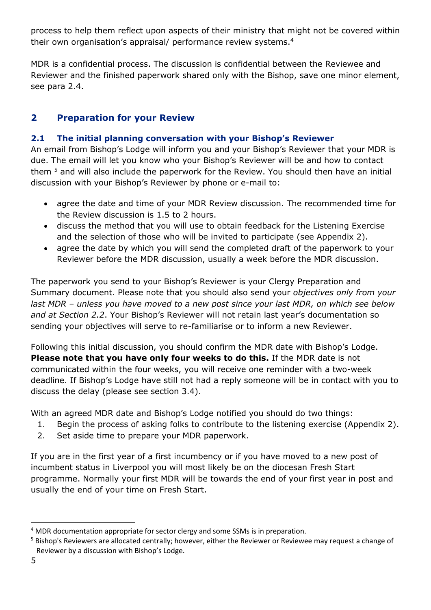process to help them reflect upon aspects of their ministry that might not be covered within their own organisation's appraisal/ performance review systems.<sup>4</sup>

MDR is a confidential process. The discussion is confidential between the Reviewee and Reviewer and the finished paperwork shared only with the Bishop, save one minor element, see para 2.4.

# **2 Preparation for your Review**

## <span id="page-4-0"></span>**2.1 The initial planning conversation with your Bishop's Reviewer**

An email from Bishop's Lodge will inform you and your Bishop's Reviewer that your MDR is due. The email will let you know who your Bishop's Reviewer will be and how to contact them <sup>5</sup> and will also include the paperwork for the Review. You should then have an initial discussion with your Bishop's Reviewer by phone or e-mail to:

- agree the date and time of your MDR Review discussion. The recommended time for the Review discussion is 1.5 to 2 hours.
- discuss the method that you will use to obtain feedback for the Listening Exercise and the selection of those who will be invited to participate (see Appendix 2).
- agree the date by which you will send the completed draft of the paperwork to your Reviewer before the MDR discussion, usually a week before the MDR discussion.

The paperwork you send to your Bishop's Reviewer is your Clergy Preparation and Summary document. Please note that you should also send your *objectives only from your last MDR – unless you have moved to a new post since your last MDR, on which see below and at Section 2.2*. Your Bishop's Reviewer will not retain last year's documentation so sending your objectives will serve to re-familiarise or to inform a new Reviewer.

Following this initial discussion, you should confirm the MDR date with Bishop's Lodge. **Please note that you have only four weeks to do this.** If the MDR date is not communicated within the four weeks, you will receive one reminder with a two-week deadline. If Bishop's Lodge have still not had a reply someone will be in contact with you to discuss the delay (please see section 3.4).

With an agreed MDR date and Bishop's Lodge notified you should do two things:

- 1. Begin the process of asking folks to contribute to the listening exercise (Appendix 2).
- 2. Set aside time to prepare your MDR paperwork.

If you are in the first year of a first incumbency or if you have moved to a new post of incumbent status in Liverpool you will most likely be on the diocesan Fresh Start programme. Normally your first MDR will be towards the end of your first year in post and usually the end of your time on Fresh Start.

<sup>1</sup> <sup>4</sup> MDR documentation appropriate for sector clergy and some SSMs is in preparation.

<sup>5</sup> Bishop's Reviewers are allocated centrally; however, either the Reviewer or Reviewee may request a change of Reviewer by a discussion with Bishop's Lodge.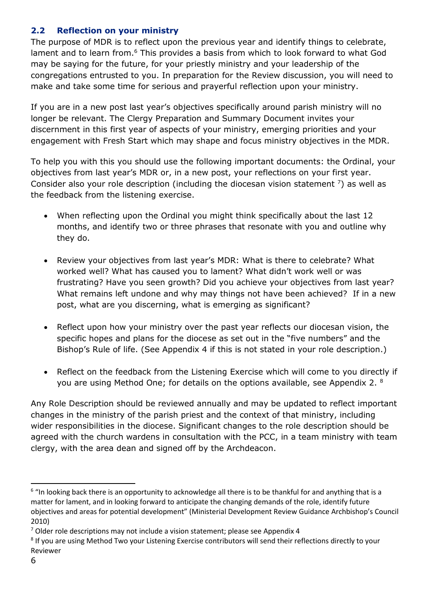## <span id="page-5-0"></span>**2.2 Reflection on your ministry**

The purpose of MDR is to reflect upon the previous year and identify things to celebrate, lament and to learn from.<sup>6</sup> This provides a basis from which to look forward to what God may be saying for the future, for your priestly ministry and your leadership of the congregations entrusted to you. In preparation for the Review discussion, you will need to make and take some time for serious and prayerful reflection upon your ministry.

If you are in a new post last year's objectives specifically around parish ministry will no longer be relevant. The Clergy Preparation and Summary Document invites your discernment in this first year of aspects of your ministry, emerging priorities and your engagement with Fresh Start which may shape and focus ministry objectives in the MDR.

To help you with this you should use the following important documents: the Ordinal, your objectives from last year's MDR or, in a new post, your reflections on your first year. Consider also your role description (including the diocesan vision statement  $\frac{7}{2}$ ) as well as the feedback from the listening exercise.

- When reflecting upon the Ordinal you might think specifically about the last 12 months, and identify two or three phrases that resonate with you and outline why they do.
- Review your objectives from last year's MDR: What is there to celebrate? What worked well? What has caused you to lament? What didn't work well or was frustrating? Have you seen growth? Did you achieve your objectives from last year? What remains left undone and why may things not have been achieved? If in a new post, what are you discerning, what is emerging as significant?
- Reflect upon how your ministry over the past year reflects our diocesan vision, the specific hopes and plans for the diocese as set out in the "five numbers" and the Bishop's Rule of life. (See Appendix 4 if this is not stated in your role description.)
- Reflect on the feedback from the Listening Exercise which will come to you directly if you are using Method One; for details on the options available, see Appendix 2.  $8$

Any Role Description should be reviewed annually and may be updated to reflect important changes in the ministry of the parish priest and the context of that ministry, including wider responsibilities in the diocese. Significant changes to the role description should be agreed with the church wardens in consultation with the PCC, in a team ministry with team clergy, with the area dean and signed off by the Archdeacon.

-

<sup>&</sup>lt;sup>6</sup> "In looking back there is an opportunity to acknowledge all there is to be thankful for and anything that is a matter for lament, and in looking forward to anticipate the changing demands of the role, identify future objectives and areas for potential development" (Ministerial Development Review Guidance Archbishop's Council 2010)

 $7$  Older role descriptions may not include a vision statement; please see Appendix 4

<sup>&</sup>lt;sup>8</sup> If you are using Method Two your Listening Exercise contributors will send their reflections directly to your Reviewer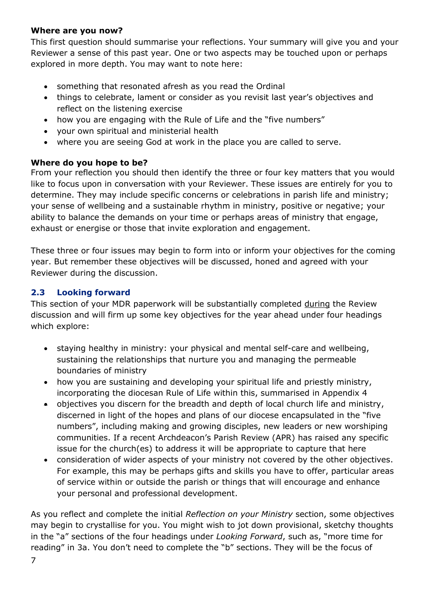## **Where are you now?**

This first question should summarise your reflections. Your summary will give you and your Reviewer a sense of this past year. One or two aspects may be touched upon or perhaps explored in more depth. You may want to note here:

- something that resonated afresh as you read the Ordinal
- things to celebrate, lament or consider as you revisit last year's objectives and reflect on the listening exercise
- how you are engaging with the Rule of Life and the "five numbers"
- your own spiritual and ministerial health
- where you are seeing God at work in the place you are called to serve.

## **Where do you hope to be?**

From your reflection you should then identify the three or four key matters that you would like to focus upon in conversation with your Reviewer. These issues are entirely for you to determine. They may include specific concerns or celebrations in parish life and ministry; your sense of wellbeing and a sustainable rhythm in ministry, positive or negative; your ability to balance the demands on your time or perhaps areas of ministry that engage, exhaust or energise or those that invite exploration and engagement.

These three or four issues may begin to form into or inform your objectives for the coming year. But remember these objectives will be discussed, honed and agreed with your Reviewer during the discussion.

## <span id="page-6-0"></span>**2.3 Looking forward**

This section of your MDR paperwork will be substantially completed during the Review discussion and will firm up some key objectives for the year ahead under four headings which explore:

- staying healthy in ministry: your physical and mental self-care and wellbeing, sustaining the relationships that nurture you and managing the permeable boundaries of ministry
- how you are sustaining and developing your spiritual life and priestly ministry, incorporating the diocesan Rule of Life within this, summarised in Appendix 4
- objectives you discern for the breadth and depth of local church life and ministry, discerned in light of the hopes and plans of our diocese encapsulated in the "five numbers", including making and growing disciples, new leaders or new worshiping communities. If a recent Archdeacon's Parish Review (APR) has raised any specific issue for the church(es) to address it will be appropriate to capture that here
- consideration of wider aspects of your ministry not covered by the other objectives. For example, this may be perhaps gifts and skills you have to offer, particular areas of service within or outside the parish or things that will encourage and enhance your personal and professional development.

As you reflect and complete the initial *Reflection on your Ministry* section, some objectives may begin to crystallise for you. You might wish to jot down provisional, sketchy thoughts in the "a" sections of the four headings under *Looking Forward*, such as, "more time for reading" in 3a. You don't need to complete the "b" sections. They will be the focus of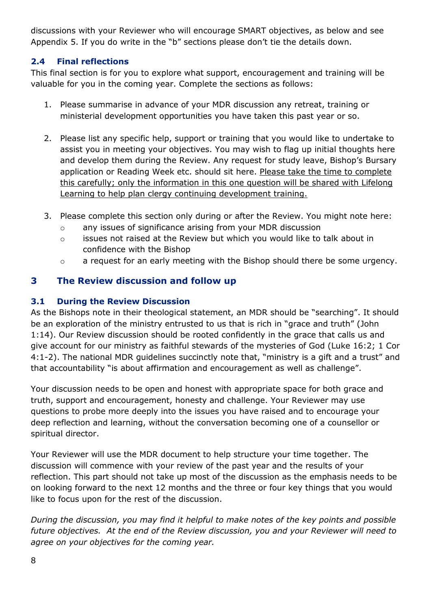discussions with your Reviewer who will encourage SMART objectives, as below and see Appendix 5. If you do write in the "b" sections please don't tie the details down.

## <span id="page-7-0"></span>**2.4 Final reflections**

This final section is for you to explore what support, encouragement and training will be valuable for you in the coming year. Complete the sections as follows:

- 1. Please summarise in advance of your MDR discussion any retreat, training or ministerial development opportunities you have taken this past year or so.
- 2. Please list any specific help, support or training that you would like to undertake to assist you in meeting your objectives. You may wish to flag up initial thoughts here and develop them during the Review. Any request for study leave, Bishop's Bursary application or Reading Week etc. should sit here. Please take the time to complete this carefully; only the information in this one question will be shared with Lifelong Learning to help plan clergy continuing development training.
- 3. Please complete this section only during or after the Review. You might note here:
	- o any issues of significance arising from your MDR discussion
	- o issues not raised at the Review but which you would like to talk about in confidence with the Bishop
	- o a request for an early meeting with the Bishop should there be some urgency.

# **3 The Review discussion and follow up**

## <span id="page-7-1"></span>**3.1 During the Review Discussion**

As the Bishops note in their theological statement, an MDR should be "searching". It should be an exploration of the ministry entrusted to us that is rich in "grace and truth" (John 1:14). Our Review discussion should be rooted confidently in the grace that calls us and give account for our ministry as faithful stewards of the mysteries of God (Luke 16:2; 1 Cor 4:1-2). The national MDR guidelines succinctly note that, "ministry is a gift and a trust" and that accountability "is about affirmation and encouragement as well as challenge".

Your discussion needs to be open and honest with appropriate space for both grace and truth, support and encouragement, honesty and challenge. Your Reviewer may use questions to probe more deeply into the issues you have raised and to encourage your deep reflection and learning, without the conversation becoming one of a counsellor or spiritual director.

Your Reviewer will use the MDR document to help structure your time together. The discussion will commence with your review of the past year and the results of your reflection. This part should not take up most of the discussion as the emphasis needs to be on looking forward to the next 12 months and the three or four key things that you would like to focus upon for the rest of the discussion.

*During the discussion, you may find it helpful to make notes of the key points and possible future objectives. At the end of the Review discussion, you and your Reviewer will need to agree on your objectives for the coming year.*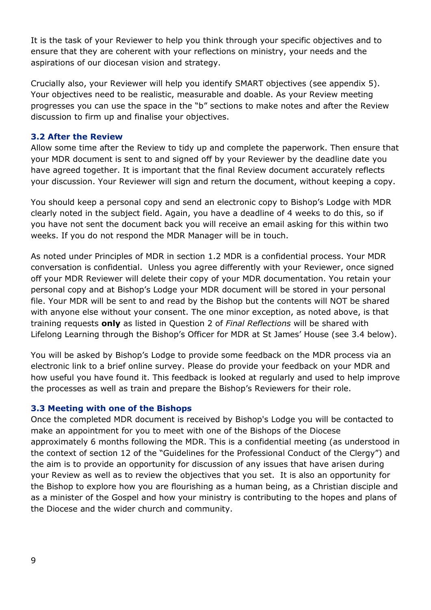It is the task of your Reviewer to help you think through your specific objectives and to ensure that they are coherent with your reflections on ministry, your needs and the aspirations of our diocesan vision and strategy.

Crucially also, your Reviewer will help you identify SMART objectives (see appendix 5). Your objectives need to be realistic, measurable and doable. As your Review meeting progresses you can use the space in the "b" sections to make notes and after the Review discussion to firm up and finalise your objectives.

## <span id="page-8-0"></span>**3.2 After the Review**

Allow some time after the Review to tidy up and complete the paperwork. Then ensure that your MDR document is sent to and signed off by your Reviewer by the deadline date you have agreed together. It is important that the final Review document accurately reflects your discussion. Your Reviewer will sign and return the document, without keeping a copy.

You should keep a personal copy and send an electronic copy to Bishop's Lodge with MDR clearly noted in the subject field. Again, you have a deadline of 4 weeks to do this, so if you have not sent the document back you will receive an email asking for this within two weeks. If you do not respond the MDR Manager will be in touch.

As noted under Principles of MDR in section 1.2 MDR is a confidential process. Your MDR conversation is confidential. Unless you agree differently with your Reviewer, once signed off your MDR Reviewer will delete their copy of your MDR documentation. You retain your personal copy and at Bishop's Lodge your MDR document will be stored in your personal file. Your MDR will be sent to and read by the Bishop but the contents will NOT be shared with anyone else without your consent. The one minor exception, as noted above, is that training requests **only** as listed in Question 2 of *Final Reflections* will be shared with Lifelong Learning through the Bishop's Officer for MDR at St James' House (see 3.4 below).

You will be asked by Bishop's Lodge to provide some feedback on the MDR process via an electronic link to a brief online survey. Please do provide your feedback on your MDR and how useful you have found it. This feedback is looked at regularly and used to help improve the processes as well as train and prepare the Bishop's Reviewers for their role.

#### <span id="page-8-1"></span>**3.3 Meeting with one of the Bishops**

Once the completed MDR document is received by Bishop's Lodge you will be contacted to make an appointment for you to meet with one of the Bishops of the Diocese approximately 6 months following the MDR. This is a confidential meeting (as understood in the context of section 12 of the "Guidelines for the Professional Conduct of the Clergy") and the aim is to provide an opportunity for discussion of any issues that have arisen during your Review as well as to review the objectives that you set. It is also an opportunity for the Bishop to explore how you are flourishing as a human being, as a Christian disciple and as a minister of the Gospel and how your ministry is contributing to the hopes and plans of the Diocese and the wider church and community.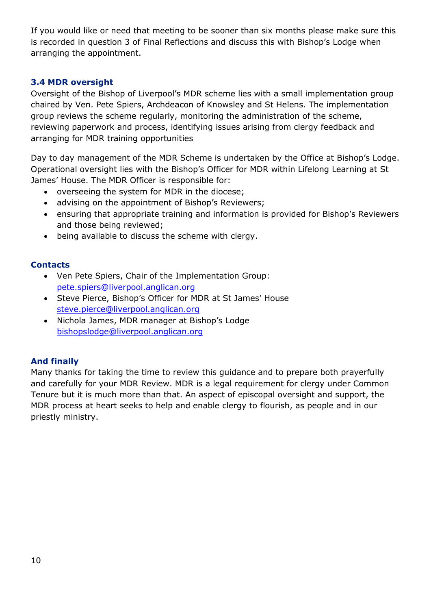If you would like or need that meeting to be sooner than six months please make sure this is recorded in question 3 of Final Reflections and discuss this with Bishop's Lodge when arranging the appointment.

## <span id="page-9-0"></span>**3.4 MDR oversight**

Oversight of the Bishop of Liverpool's MDR scheme lies with a small implementation group chaired by Ven. Pete Spiers, Archdeacon of Knowsley and St Helens. The implementation group reviews the scheme regularly, monitoring the administration of the scheme, reviewing paperwork and process, identifying issues arising from clergy feedback and arranging for MDR training opportunities

Day to day management of the MDR Scheme is undertaken by the Office at Bishop's Lodge. Operational oversight lies with the Bishop's Officer for MDR within Lifelong Learning at St James' House. The MDR Officer is responsible for:

- overseeing the system for MDR in the diocese;
- advising on the appointment of Bishop's Reviewers;
- ensuring that appropriate training and information is provided for Bishop's Reviewers and those being reviewed;
- being available to discuss the scheme with clergy.

## **Contacts**

- Ven Pete Spiers, Chair of the Implementation Group: [pete.spiers@liverpool.anglican.org](mailto:pete.spiers@liverpool.anglican.org)
- Steve Pierce, Bishop's Officer for MDR at St James' House steve.pierce@liverpool.anglican.org
- Nichola James, MDR manager at Bishop's Lodge [bishopslodge@liverpool.anglican.org](mailto:bishopslodge@liverpool.anglican.org)

## **And finally**

Many thanks for taking the time to review this guidance and to prepare both prayerfully and carefully for your MDR Review. MDR is a legal requirement for clergy under Common Tenure but it is much more than that. An aspect of episcopal oversight and support, the MDR process at heart seeks to help and enable clergy to flourish, as people and in our priestly ministry.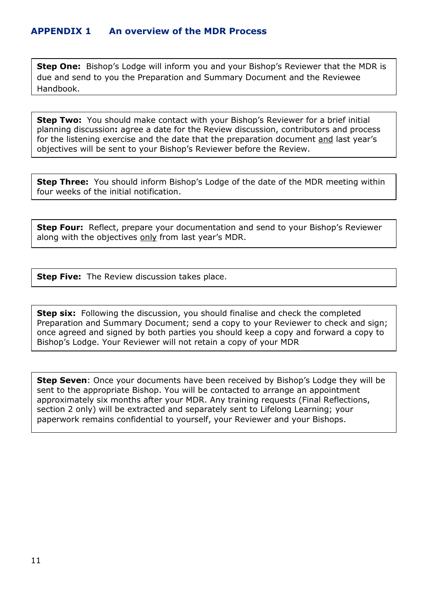<span id="page-10-0"></span>**Step One:** Bishop's Lodge will inform you and your Bishop's Reviewer that the MDR is due and send to you the Preparation and Summary Document and the Reviewee Handbook.

**Step Two:** You should make contact with your Bishop's Reviewer for a brief initial planning discussion**:** agree a date for the Review discussion, contributors and process for the listening exercise and the date that the preparation document and last year's objectives will be sent to your Bishop's Reviewer before the Review.

**Step Three:** You should inform Bishop's Lodge of the date of the MDR meeting within four weeks of the initial notification.

**Step Four:** Reflect, prepare your documentation and send to your Bishop's Reviewer along with the objectives only from last year's MDR.

**Step Five:** The Review discussion takes place.

**Step six:** Following the discussion, you should finalise and check the completed Preparation and Summary Document; send a copy to your Reviewer to check and sign; once agreed and signed by both parties you should keep a copy and forward a copy to Bishop's Lodge. Your Reviewer will not retain a copy of your MDR

**Step Seven**: Once your documents have been received by Bishop's Lodge they will be sent to the appropriate Bishop. You will be contacted to arrange an appointment approximately six months after your MDR. Any training requests (Final Reflections, section 2 only) will be extracted and separately sent to Lifelong Learning; your paperwork remains confidential to yourself, your Reviewer and your Bishops.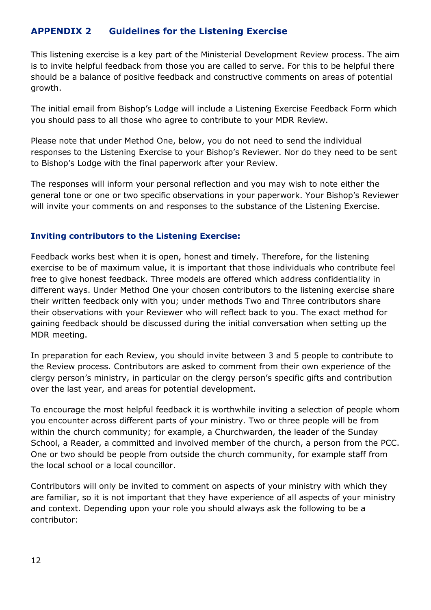## <span id="page-11-0"></span>**APPENDIX 2 Guidelines for the Listening Exercise**

This listening exercise is a key part of the Ministerial Development Review process. The aim is to invite helpful feedback from those you are called to serve. For this to be helpful there should be a balance of positive feedback and constructive comments on areas of potential growth.

The initial email from Bishop's Lodge will include a Listening Exercise Feedback Form which you should pass to all those who agree to contribute to your MDR Review.

Please note that under Method One, below, you do not need to send the individual responses to the Listening Exercise to your Bishop's Reviewer. Nor do they need to be sent to Bishop's Lodge with the final paperwork after your Review.

The responses will inform your personal reflection and you may wish to note either the general tone or one or two specific observations in your paperwork. Your Bishop's Reviewer will invite your comments on and responses to the substance of the Listening Exercise.

## **Inviting contributors to the Listening Exercise:**

Feedback works best when it is open, honest and timely. Therefore, for the listening exercise to be of maximum value, it is important that those individuals who contribute feel free to give honest feedback. Three models are offered which address confidentiality in different ways. Under Method One your chosen contributors to the listening exercise share their written feedback only with you; under methods Two and Three contributors share their observations with your Reviewer who will reflect back to you. The exact method for gaining feedback should be discussed during the initial conversation when setting up the MDR meeting.

In preparation for each Review, you should invite between 3 and 5 people to contribute to the Review process. Contributors are asked to comment from their own experience of the clergy person's ministry, in particular on the clergy person's specific gifts and contribution over the last year, and areas for potential development.

To encourage the most helpful feedback it is worthwhile inviting a selection of people whom you encounter across different parts of your ministry. Two or three people will be from within the church community; for example, a Churchwarden, the leader of the Sunday School, a Reader, a committed and involved member of the church, a person from the PCC. One or two should be people from outside the church community, for example staff from the local school or a local councillor.

Contributors will only be invited to comment on aspects of your ministry with which they are familiar, so it is not important that they have experience of all aspects of your ministry and context. Depending upon your role you should always ask the following to be a contributor: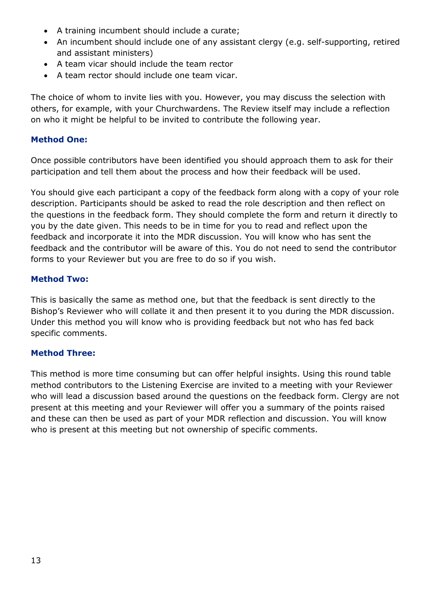- A training incumbent should include a curate;
- An incumbent should include one of any assistant clergy (e.g. self-supporting, retired and assistant ministers)
- A team vicar should include the team rector
- A team rector should include one team vicar.

The choice of whom to invite lies with you. However, you may discuss the selection with others, for example, with your Churchwardens. The Review itself may include a reflection on who it might be helpful to be invited to contribute the following year.

#### **Method One:**

Once possible contributors have been identified you should approach them to ask for their participation and tell them about the process and how their feedback will be used.

You should give each participant a copy of the feedback form along with a copy of your role description. Participants should be asked to read the role description and then reflect on the questions in the feedback form. They should complete the form and return it directly to you by the date given. This needs to be in time for you to read and reflect upon the feedback and incorporate it into the MDR discussion. You will know who has sent the feedback and the contributor will be aware of this. You do not need to send the contributor forms to your Reviewer but you are free to do so if you wish.

#### **Method Two:**

This is basically the same as method one, but that the feedback is sent directly to the Bishop's Reviewer who will collate it and then present it to you during the MDR discussion. Under this method you will know who is providing feedback but not who has fed back specific comments.

#### **Method Three:**

This method is more time consuming but can offer helpful insights. Using this round table method contributors to the Listening Exercise are invited to a meeting with your Reviewer who will lead a discussion based around the questions on the feedback form. Clergy are not present at this meeting and your Reviewer will offer you a summary of the points raised and these can then be used as part of your MDR reflection and discussion. You will know who is present at this meeting but not ownership of specific comments.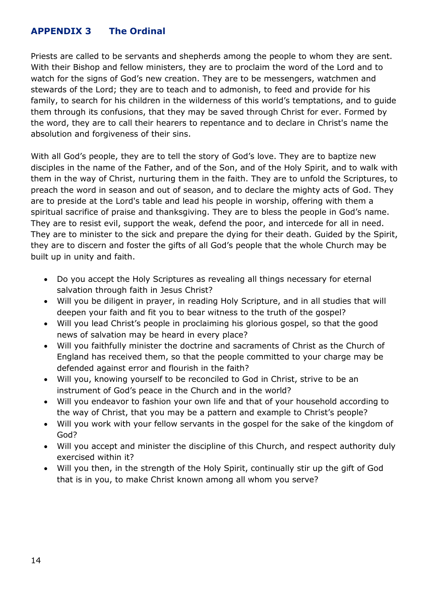## <span id="page-13-0"></span>**APPENDIX 3 The Ordinal**

Priests are called to be servants and shepherds among the people to whom they are sent. With their Bishop and fellow ministers, they are to proclaim the word of the Lord and to watch for the signs of God's new creation. They are to be messengers, watchmen and stewards of the Lord; they are to teach and to admonish, to feed and provide for his family, to search for his children in the wilderness of this world's temptations, and to guide them through its confusions, that they may be saved through Christ for ever. Formed by the word, they are to call their hearers to repentance and to declare in Christ's name the absolution and forgiveness of their sins.

With all God's people, they are to tell the story of God's love. They are to baptize new disciples in the name of the Father, and of the Son, and of the Holy Spirit, and to walk with them in the way of Christ, nurturing them in the faith. They are to unfold the Scriptures, to preach the word in season and out of season, and to declare the mighty acts of God. They are to preside at the Lord's table and lead his people in worship, offering with them a spiritual sacrifice of praise and thanksgiving. They are to bless the people in God's name. They are to resist evil, support the weak, defend the poor, and intercede for all in need. They are to minister to the sick and prepare the dying for their death. Guided by the Spirit, they are to discern and foster the gifts of all God's people that the whole Church may be built up in unity and faith.

- Do you accept the Holy Scriptures as revealing all things necessary for eternal salvation through faith in Jesus Christ?
- Will you be diligent in prayer, in reading Holy Scripture, and in all studies that will deepen your faith and fit you to bear witness to the truth of the gospel?
- Will you lead Christ's people in proclaiming his glorious gospel, so that the good news of salvation may be heard in every place?
- Will you faithfully minister the doctrine and sacraments of Christ as the Church of England has received them, so that the people committed to your charge may be defended against error and flourish in the faith?
- Will you, knowing yourself to be reconciled to God in Christ, strive to be an instrument of God's peace in the Church and in the world?
- Will you endeavor to fashion your own life and that of your household according to the way of Christ, that you may be a pattern and example to Christ's people?
- Will you work with your fellow servants in the gospel for the sake of the kingdom of God?
- Will you accept and minister the discipline of this Church, and respect authority duly exercised within it?
- Will you then, in the strength of the Holy Spirit, continually stir up the gift of God that is in you, to make Christ known among all whom you serve?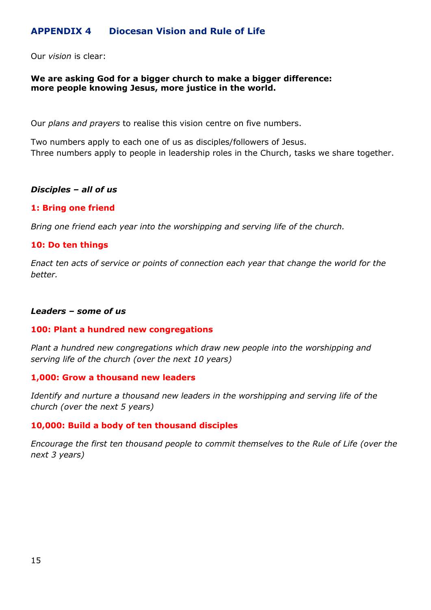## <span id="page-14-0"></span>**APPENDIX 4 Diocesan Vision and Rule of Life**

Our *vision* is clear:

#### **We are asking God for a bigger church to make a bigger difference: more people knowing Jesus, more justice in the world.**

Our *plans and prayers* to realise this vision centre on five numbers.

Two numbers apply to each one of us as disciples/followers of Jesus. Three numbers apply to people in leadership roles in the Church, tasks we share together.

#### *Disciples – all of us*

#### **1: Bring one friend**

*Bring one friend each year into the worshipping and serving life of the church.*

#### **10: Do ten things**

*Enact ten acts of service or points of connection each year that change the world for the better.*

#### *Leaders – some of us*

#### **100: Plant a hundred new congregations**

*Plant a hundred new congregations which draw new people into the worshipping and serving life of the church (over the next 10 years)*

#### **1,000: Grow a thousand new leaders**

*Identify and nurture a thousand new leaders in the worshipping and serving life of the church (over the next 5 years)*

#### **10,000: Build a body of ten thousand disciples**

*Encourage the first ten thousand people to commit themselves to the Rule of Life (over the next 3 years)*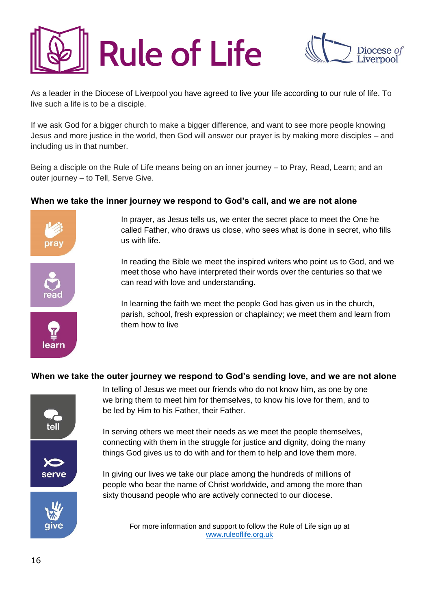



As a leader in the Diocese of Liverpool you have agreed to live your life according to our rule of life. To live such a life is to be a disciple.

If we ask God for a bigger church to make a bigger difference, and want to see more people knowing Jesus and more justice in the world, then God will answer our prayer is by making more disciples – and including us in that number.

Being a disciple on the Rule of Life means being on an inner journey – to Pray, Read, Learn; and an outer journey – to Tell, Serve Give.

#### **When we take the inner journey we respond to God's call, and we are not alone**



In prayer, as Jesus tells us, we enter the secret place to meet the One he called Father, who draws us close, who sees what is done in secret, who fills us with life.

In reading the Bible we meet the inspired writers who point us to God, and we meet those who have interpreted their words over the centuries so that we can read with love and understanding.

In learning the faith we meet the people God has given us in the church, parish, school, fresh expression or chaplaincy; we meet them and learn from them how to live

#### **When we take the outer journey we respond to God's sending love, and we are not alone**



In telling of Jesus we meet our friends who do not know him, as one by one we bring them to meet him for themselves, to know his love for them, and to be led by Him to his Father, their Father.

In serving others we meet their needs as we meet the people themselves, connecting with them in the struggle for justice and dignity, doing the many things God gives us to do with and for them to help and love them more.

In giving our lives we take our place among the hundreds of millions of people who bear the name of Christ worldwide, and among the more than sixty thousand people who are actively connected to our diocese.

> For more information and support to follow the Rule of Life sign up at [www.ruleoflife.org.uk](http://www.ruleoflife.org.uk/)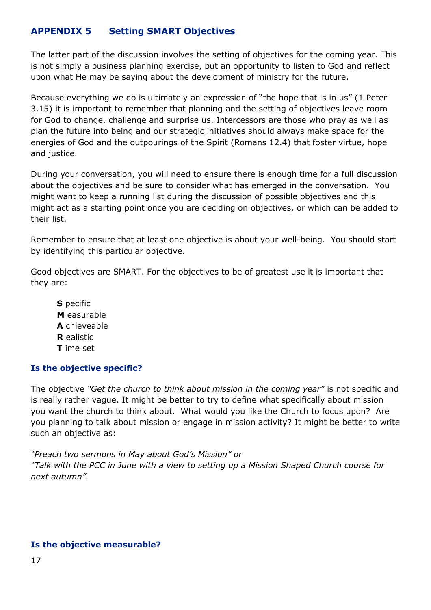# <span id="page-16-0"></span>**APPENDIX 5 Setting SMART Objectives**

The latter part of the discussion involves the setting of objectives for the coming year. This is not simply a business planning exercise, but an opportunity to listen to God and reflect upon what He may be saying about the development of ministry for the future.

Because everything we do is ultimately an expression of "the hope that is in us" (1 Peter 3.15) it is important to remember that planning and the setting of objectives leave room for God to change, challenge and surprise us. Intercessors are those who pray as well as plan the future into being and our strategic initiatives should always make space for the energies of God and the outpourings of the Spirit (Romans 12.4) that foster virtue, hope and justice.

During your conversation, you will need to ensure there is enough time for a full discussion about the objectives and be sure to consider what has emerged in the conversation. You might want to keep a running list during the discussion of possible objectives and this might act as a starting point once you are deciding on objectives, or which can be added to their list.

Remember to ensure that at least one objective is about your well-being. You should start by identifying this particular objective.

Good objectives are SMART. For the objectives to be of greatest use it is important that they are:

**S** pecific **M** easurable **A** chieveable **R** ealistic **T** ime set

## **Is the objective specific?**

The objective *"Get the church to think about mission in the coming year"* is not specific and is really rather vague. It might be better to try to define what specifically about mission you want the church to think about. What would you like the Church to focus upon? Are you planning to talk about mission or engage in mission activity? It might be better to write such an objective as:

*"Preach two sermons in May about God's Mission" or "Talk with the PCC in June with a view to setting up a Mission Shaped Church course for next autumn".*

## **Is the objective measurable?**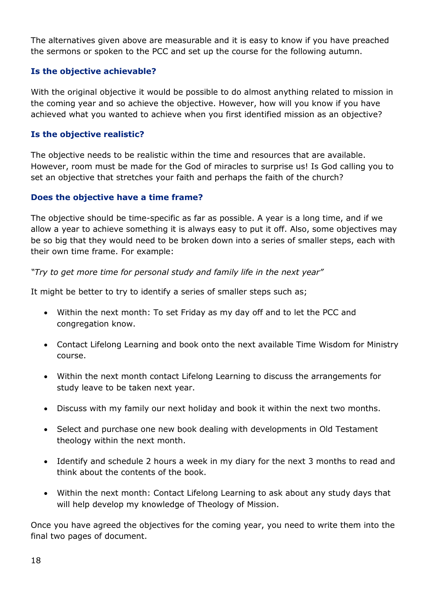The alternatives given above are measurable and it is easy to know if you have preached the sermons or spoken to the PCC and set up the course for the following autumn.

## **Is the objective achievable?**

With the original objective it would be possible to do almost anything related to mission in the coming year and so achieve the objective. However, how will you know if you have achieved what you wanted to achieve when you first identified mission as an objective?

## **Is the objective realistic?**

The objective needs to be realistic within the time and resources that are available. However, room must be made for the God of miracles to surprise us! Is God calling you to set an objective that stretches your faith and perhaps the faith of the church?

## **Does the objective have a time frame?**

The objective should be time-specific as far as possible. A year is a long time, and if we allow a year to achieve something it is always easy to put it off. Also, some objectives may be so big that they would need to be broken down into a series of smaller steps, each with their own time frame. For example:

#### *"Try to get more time for personal study and family life in the next year"*

It might be better to try to identify a series of smaller steps such as;

- Within the next month: To set Friday as my day off and to let the PCC and congregation know.
- Contact Lifelong Learning and book onto the next available Time Wisdom for Ministry course.
- Within the next month contact Lifelong Learning to discuss the arrangements for study leave to be taken next year.
- Discuss with my family our next holiday and book it within the next two months.
- Select and purchase one new book dealing with developments in Old Testament theology within the next month.
- Identify and schedule 2 hours a week in my diary for the next 3 months to read and think about the contents of the book.
- Within the next month: Contact Lifelong Learning to ask about any study days that will help develop my knowledge of Theology of Mission.

Once you have agreed the objectives for the coming year, you need to write them into the final two pages of document.